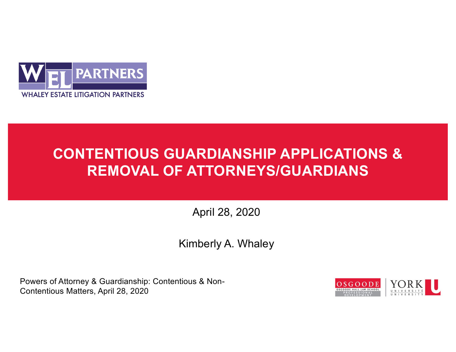

# **CONTENTIOUS GUARDIANSHIP APPLICATIONS & REMOVAL OF ATTORNEYS/GUARDIANS**

April 28, 2020

Kimberly A. Whaley

Powers of Attorney & Guardianship: Contentious & Non-Contentious Matters, April 28, 2020

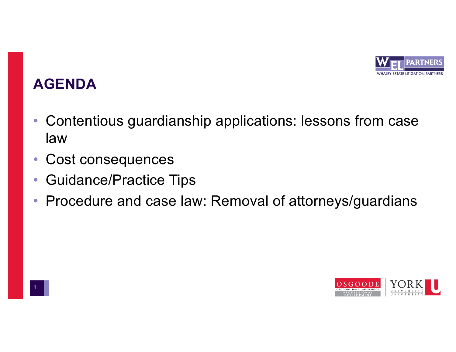

## **AGENDA**

- Contentious guardianship applications: lessons from case law
- Cost consequences
- Guidance/Practice Tips
- Procedure and case law: Removal of attorneys/guardians

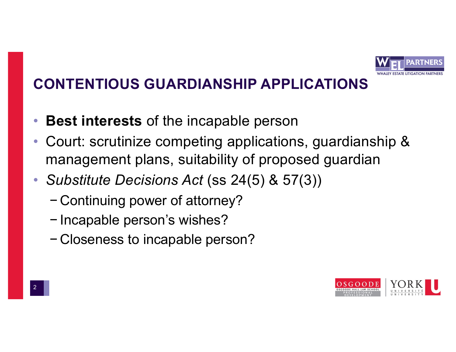

- **Best interests** of the incapable person
- Court: scrutinize competing applications, guardianship & management plans, suitability of proposed guardian
- *Substitute Decisions Act* (ss 24(5) & 57(3))
	- − Continuing power of attorney?
	- − Incapable person's wishes?
	- − Closeness to incapable person?

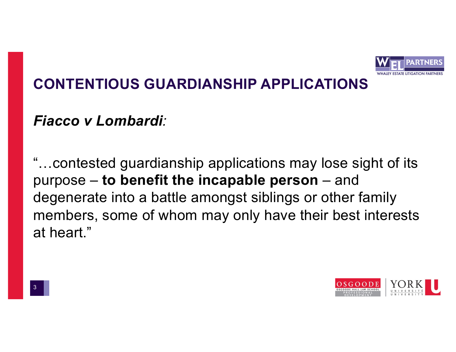

#### *Fiacco v Lombardi:*

"…contested guardianship applications may lose sight of its purpose – **to benefit the incapable person** – and degenerate into a battle amongst siblings or other family members, some of whom may only have their best interests at heart."

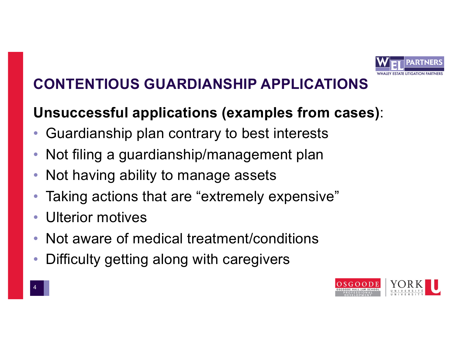

# **Unsuccessful applications (examples from cases)**:

- Guardianship plan contrary to best interests
- Not filing a guardianship/management plan
- Not having ability to manage assets
- Taking actions that are "extremely expensive"
- Ulterior motives
- Not aware of medical treatment/conditions
- Difficulty getting along with caregivers

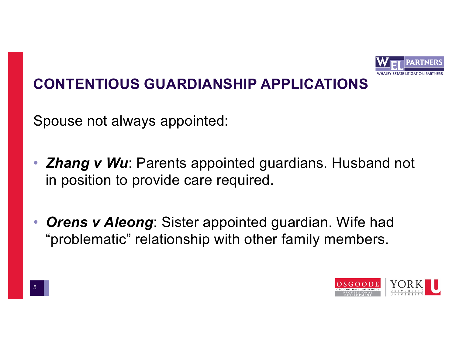

Spouse not always appointed:

- *Zhang v Wu*: Parents appointed guardians. Husband not in position to provide care required.
- *Orens v Aleong*: Sister appointed guardian. Wife had "problematic" relationship with other family members.

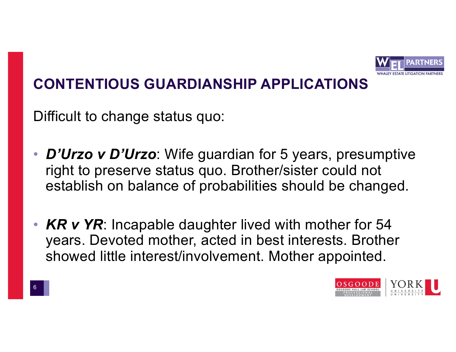

Difficult to change status quo:

- *D'Urzo v D'Urzo*: Wife guardian for 5 years, presumptive right to preserve status quo. Brother/sister could not establish on balance of probabilities should be changed.
- **KR v YR**: Incapable daughter lived with mother for 54 years. Devoted mother, acted in best interests. Brother showed little interest/involvement. Mother appointed.

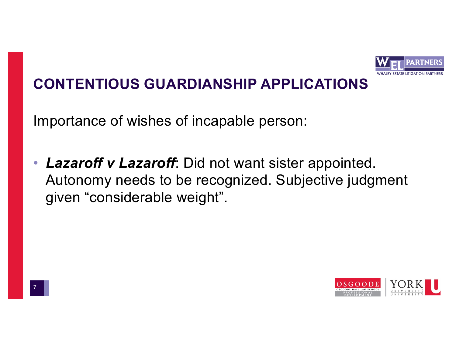

Importance of wishes of incapable person:

• *Lazaroff v Lazaroff*: Did not want sister appointed. Autonomy needs to be recognized. Subjective judgment given "considerable weight".

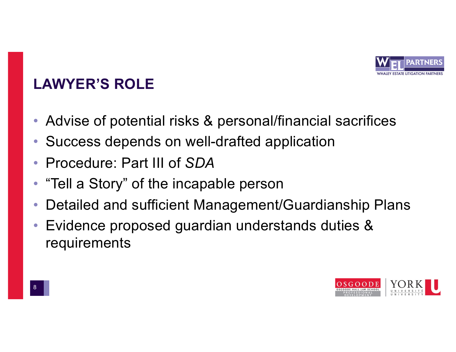

## **LAWYER'S ROLE**

- Advise of potential risks & personal/financial sacrifices
- Success depends on well-drafted application
- Procedure: Part III of *SDA*
- "Tell a Story" of the incapable person
- Detailed and sufficient Management/Guardianship Plans
- Evidence proposed guardian understands duties & requirements

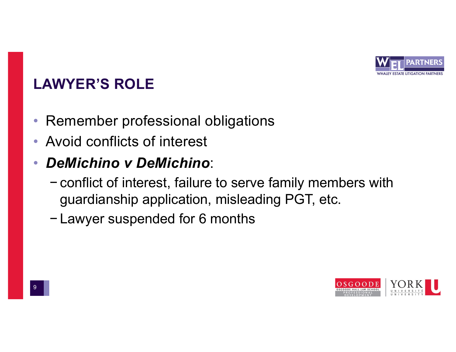

## **LAWYER'S ROLE**

- Remember professional obligations
- Avoid conflicts of interest
- *DeMichino v DeMichino*:
	- − conflict of interest, failure to serve family members with guardianship application, misleading PGT, etc.
	- − Lawyer suspended for 6 months

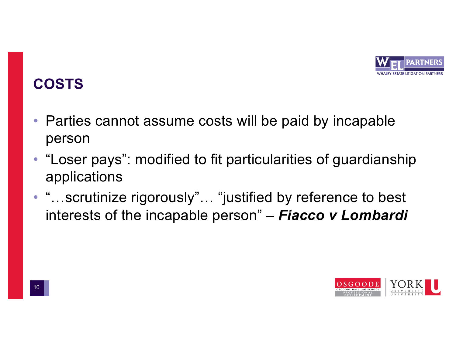

- Parties cannot assume costs will be paid by incapable person
- "Loser pays": modified to fit particularities of guardianship applications
- "...scrutinize rigorously"... "justified by reference to best interests of the incapable person" – *Fiacco v Lombardi*

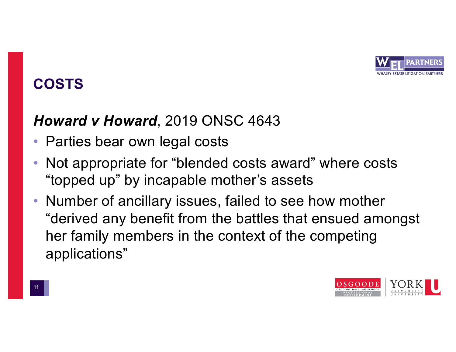

### *Howard v Howard*, 2019 ONSC 4643

- Parties bear own legal costs
- Not appropriate for "blended costs award" where costs "topped up" by incapable mother's assets
- Number of ancillary issues, failed to see how mother "derived any benefit from the battles that ensued amongst her family members in the context of the competing applications"

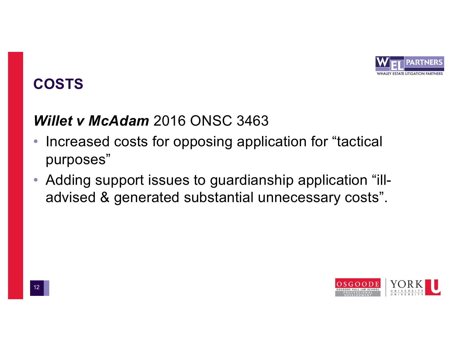

## *Willet v McAdam* 2016 ONSC 3463

- Increased costs for opposing application for "tactical purposes"
- Adding support issues to guardianship application "illadvised & generated substantial unnecessary costs".

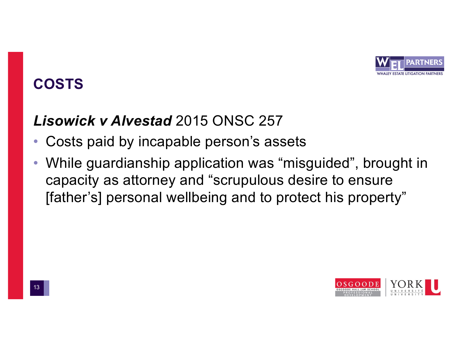

# *Lisowick v Alvestad* 2015 ONSC 257

- Costs paid by incapable person's assets
- While guardianship application was "misguided", brought in capacity as attorney and "scrupulous desire to ensure [father's] personal wellbeing and to protect his property"

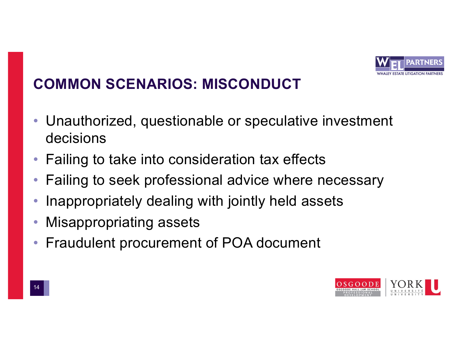

## **COMMON SCENARIOS: MISCONDUCT**

- Unauthorized, questionable or speculative investment decisions
- Failing to take into consideration tax effects
- Failing to seek professional advice where necessary
- Inappropriately dealing with jointly held assets
- Misappropriating assets
- Fraudulent procurement of POA document

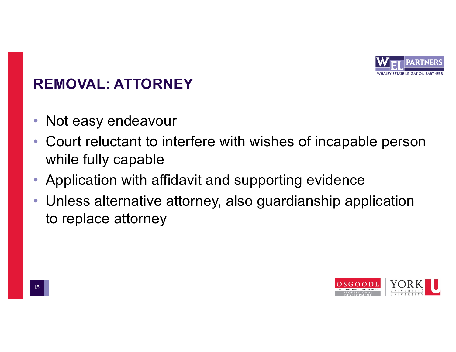

- Not easy endeavour
- Court reluctant to interfere with wishes of incapable person while fully capable
- Application with affidavit and supporting evidence
- Unless alternative attorney, also guardianship application to replace attorney

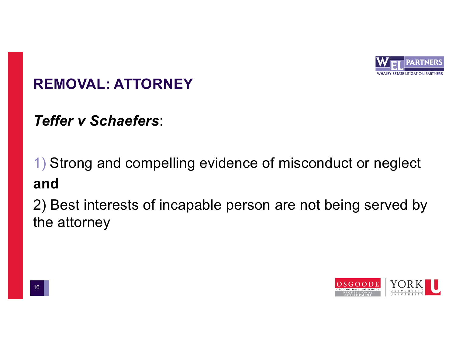

*Teffer v Schaefers*:

1) Strong and compelling evidence of misconduct or neglect **and**

2) Best interests of incapable person are not being served by the attorney

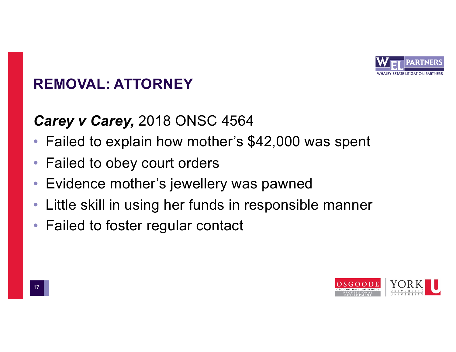

#### *Carey v Carey,* 2018 ONSC 4564

- Failed to explain how mother's \$42,000 was spent
- Failed to obey court orders
- Evidence mother's jewellery was pawned
- Little skill in using her funds in responsible manner
- Failed to foster regular contact

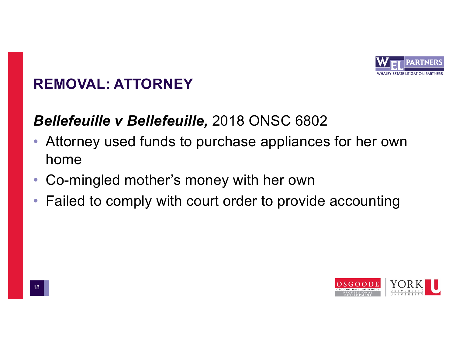

## *Bellefeuille v Bellefeuille,* 2018 ONSC 6802

- Attorney used funds to purchase appliances for her own home
- Co-mingled mother's money with her own
- Failed to comply with court order to provide accounting

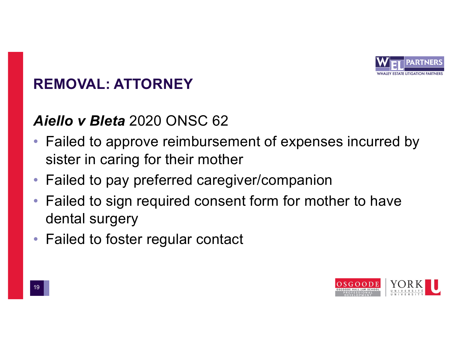

### *Aiello v Bleta* 2020 ONSC 62

- Failed to approve reimbursement of expenses incurred by sister in caring for their mother
- Failed to pay preferred caregiver/companion
- Failed to sign required consent form for mother to have dental surgery
- Failed to foster regular contact

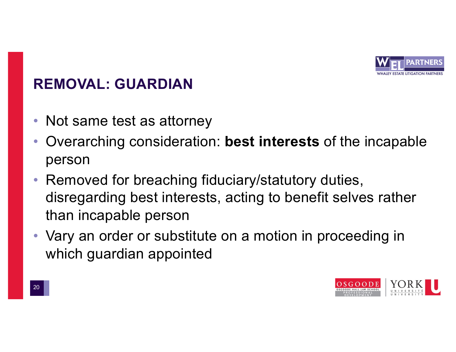

- Not same test as attorney
- Overarching consideration: **best interests** of the incapable person
- Removed for breaching fiduciary/statutory duties, disregarding best interests, acting to benefit selves rather than incapable person
- Vary an order or substitute on a motion in proceeding in which guardian appointed

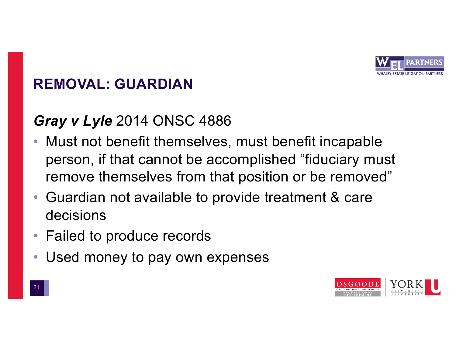

# *Gray v Lyle* 2014 ONSC 4886

- Must not benefit themselves, must benefit incapable person, if that cannot be accomplished "fiduciary must remove themselves from that position or be removed"
- Guardian not available to provide treatment & care decisions
- Failed to produce records
- Used money to pay own expenses

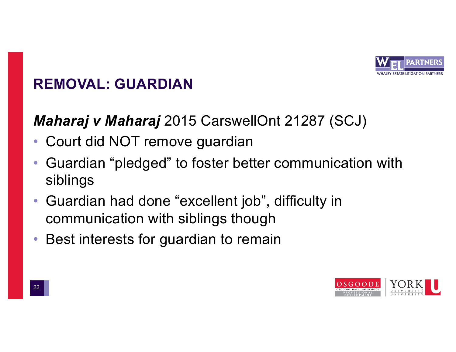

### *Maharaj v Maharaj* 2015 CarswellOnt 21287 (SCJ)

- Court did NOT remove guardian
- Guardian "pledged" to foster better communication with siblings
- Guardian had done "excellent job", difficulty in communication with siblings though
- Best interests for guardian to remain

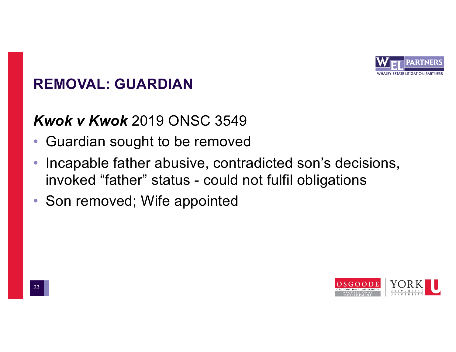

### *Kwok v Kwok* 2019 ONSC 3549

- Guardian sought to be removed
- Incapable father abusive, contradicted son's decisions, invoked "father" status - could not fulfil obligations
- Son removed; Wife appointed

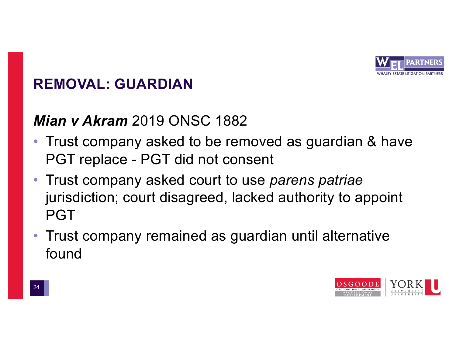

#### *Mian v Akram* 2019 ONSC 1882

- Trust company asked to be removed as guardian & have PGT replace - PGT did not consent
- Trust company asked court to use *parens patriae*  jurisdiction; court disagreed, lacked authority to appoint PGT
- Trust company remained as guardian until alternative found

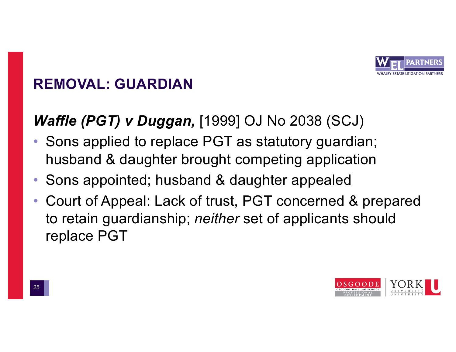

## *Waffle (PGT) v Duggan,* [1999] OJ No 2038 (SCJ)

- Sons applied to replace PGT as statutory guardian; husband & daughter brought competing application
- Sons appointed; husband & daughter appealed
- Court of Appeal: Lack of trust, PGT concerned & prepared to retain guardianship; *neither* set of applicants should replace PGT

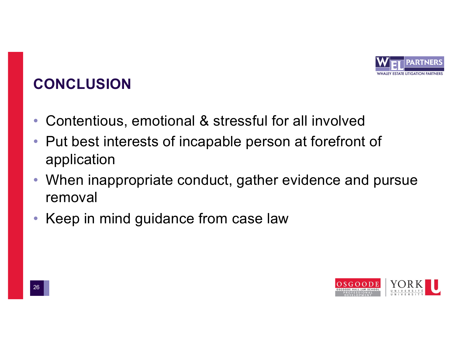

# **CONCLUSION**

- Contentious, emotional & stressful for all involved
- Put best interests of incapable person at forefront of application
- When inappropriate conduct, gather evidence and pursue removal
- Keep in mind guidance from case law